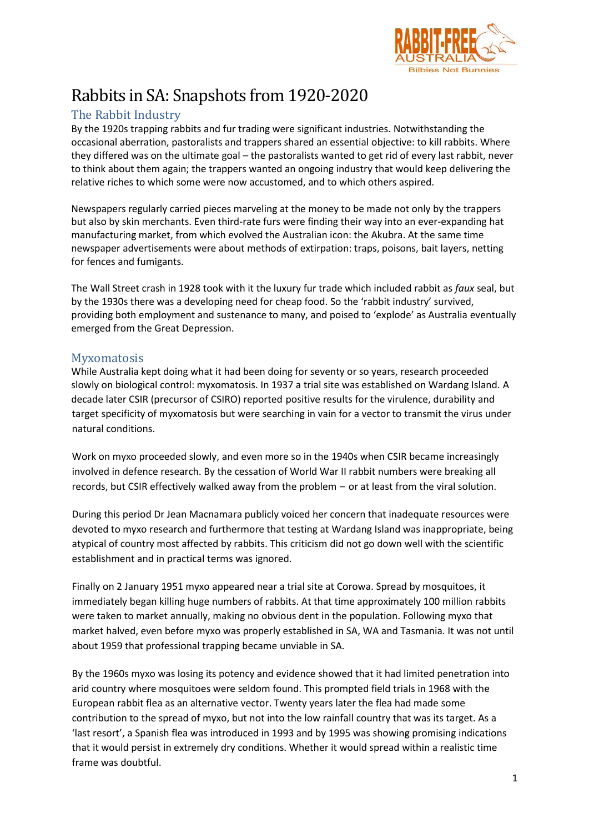

# Rabbits in SA: Snapshots from 1920-2020

## The Rabbit Industry

By the 1920s trapping rabbits and fur trading were significant industries. Notwithstanding the occasional aberration, pastoralists and trappers shared an essential objective: to kill rabbits. Where they differed was on the ultimate goal – the pastoralists wanted to get rid of every last rabbit, never to think about them again; the trappers wanted an ongoing industry that would keep delivering the relative riches to which some were now accustomed, and to which others aspired.

Newspapers regularly carried pieces marveling at the money to be made not only by the trappers but also by skin merchants. Even third-rate furs were finding their way into an ever-expanding hat manufacturing market, from which evolved the Australian icon: the Akubra. At the same time newspaper advertisements were about methods of extirpation: traps, poisons, bait layers, netting for fences and fumigants.

The Wall Street crash in 1928 took with it the luxury fur trade which included rabbit as *faux* seal, but by the 1930s there was a developing need for cheap food. So the 'rabbit industry' survived, providing both employment and sustenance to many, and poised to 'explode' as Australia eventually emerged from the Great Depression.

### **Myxomatosis**

While Australia kept doing what it had been doing for seventy or so years, research proceeded slowly on biological control: myxomatosis. In 1937 a trial site was established on Wardang Island. A decade later CSIR (precursor of CSIRO) reported positive results for the virulence, durability and target specificity of myxomatosis but were searching in vain for a vector to transmit the virus under natural conditions.

Work on myxo proceeded slowly, and even more so in the 1940s when CSIR became increasingly involved in defence research. By the cessation of World War II rabbit numbers were breaking all records, but CSIR effectively walked away from the problem – or at least from the viral solution.

During this period Dr Jean Macnamara publicly voiced her concern that inadequate resources were devoted to myxo research and furthermore that testing at Wardang Island was inappropriate, being atypical of country most affected by rabbits. This criticism did not go down well with the scientific establishment and in practical terms was ignored.

Finally on 2 January 1951 myxo appeared near a trial site at Corowa. Spread by mosquitoes, it immediately began killing huge numbers of rabbits. At that time approximately 100 million rabbits were taken to market annually, making no obvious dent in the population. Following myxo that market halved, even before myxo was properly established in SA, WA and Tasmania. It was not until about 1959 that professional trapping became unviable in SA.

By the 1960s myxo was losing its potency and evidence showed that it had limited penetration into arid country where mosquitoes were seldom found. This prompted field trials in 1968 with the European rabbit flea as an alternative vector. Twenty years later the flea had made some contribution to the spread of myxo, but not into the low rainfall country that was its target. As a 'last resort', a Spanish flea was introduced in 1993 and by 1995 was showing promising indications that it would persist in extremely dry conditions. Whether it would spread within a realistic time frame was doubtful.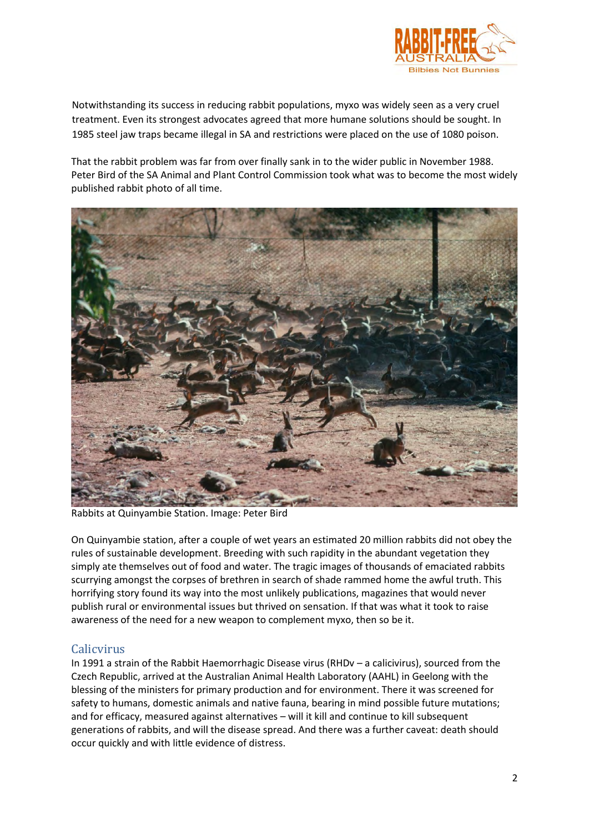

Notwithstanding its success in reducing rabbit populations, myxo was widely seen as a very cruel treatment. Even its strongest advocates agreed that more humane solutions should be sought. In 1985 steel jaw traps became illegal in SA and restrictions were placed on the use of 1080 poison.

That the rabbit problem was far from over finally sank in to the wider public in November 1988. Peter Bird of the SA Animal and Plant Control Commission took what was to become the most widely published rabbit photo of all time.



Rabbits at Quinyambie Station. Image: Peter Bird

On Quinyambie station, after a couple of wet years an estimated 20 million rabbits did not obey the rules of sustainable development. Breeding with such rapidity in the abundant vegetation they simply ate themselves out of food and water. The tragic images of thousands of emaciated rabbits scurrying amongst the corpses of brethren in search of shade rammed home the awful truth. This horrifying story found its way into the most unlikely publications, magazines that would never publish rural or environmental issues but thrived on sensation. If that was what it took to raise awareness of the need for a new weapon to complement myxo, then so be it.

### Calicvirus

In 1991 a strain of the Rabbit Haemorrhagic Disease virus (RHDv – a calicivirus), sourced from the Czech Republic, arrived at the Australian Animal Health Laboratory (AAHL) in Geelong with the blessing of the ministers for primary production and for environment. There it was screened for safety to humans, domestic animals and native fauna, bearing in mind possible future mutations; and for efficacy, measured against alternatives – will it kill and continue to kill subsequent generations of rabbits, and will the disease spread. And there was a further caveat: death should occur quickly and with little evidence of distress.